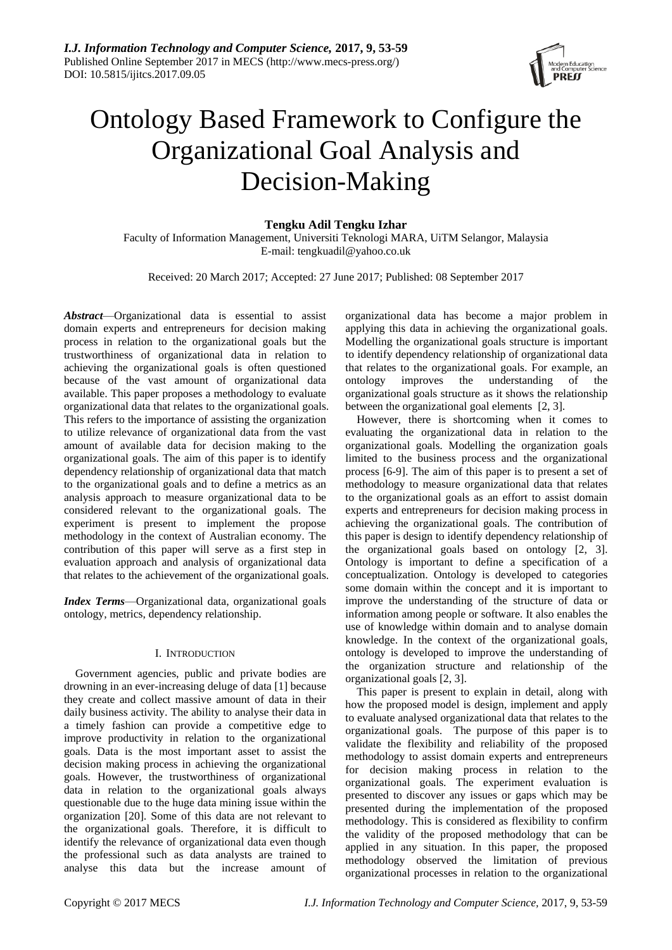

# Ontology Based Framework to Configure the Organizational Goal Analysis and Decision-Making

## **Tengku Adil Tengku Izhar**

Faculty of Information Management, Universiti Teknologi MARA, UiTM Selangor, Malaysia E-mail: tengkuadil@yahoo.co.uk

Received: 20 March 2017; Accepted: 27 June 2017; Published: 08 September 2017

*Abstract*—Organizational data is essential to assist domain experts and entrepreneurs for decision making process in relation to the organizational goals but the trustworthiness of organizational data in relation to achieving the organizational goals is often questioned because of the vast amount of organizational data available. This paper proposes a methodology to evaluate organizational data that relates to the organizational goals. This refers to the importance of assisting the organization to utilize relevance of organizational data from the vast amount of available data for decision making to the organizational goals. The aim of this paper is to identify dependency relationship of organizational data that match to the organizational goals and to define a metrics as an analysis approach to measure organizational data to be considered relevant to the organizational goals. The experiment is present to implement the propose methodology in the context of Australian economy. The contribution of this paper will serve as a first step in evaluation approach and analysis of organizational data that relates to the achievement of the organizational goals.

*Index Terms*—Organizational data, organizational goals ontology, metrics, dependency relationship.

## I. INTRODUCTION

Government agencies, public and private bodies are drowning in an ever-increasing deluge of data [1] because they create and collect massive amount of data in their daily business activity. The ability to analyse their data in a timely fashion can provide a competitive edge to improve productivity in relation to the organizational goals. Data is the most important asset to assist the decision making process in achieving the organizational goals. However, the trustworthiness of organizational data in relation to the organizational goals always questionable due to the huge data mining issue within the organization [20]. Some of this data are not relevant to the organizational goals. Therefore, it is difficult to identify the relevance of organizational data even though the professional such as data analysts are trained to analyse this data but the increase amount of organizational data has become a major problem in applying this data in achieving the organizational goals. Modelling the organizational goals structure is important to identify dependency relationship of organizational data that relates to the organizational goals. For example, an ontology improves the understanding of the organizational goals structure as it shows the relationship between the organizational goal elements [2, 3].

However, there is shortcoming when it comes to evaluating the organizational data in relation to the organizational goals. Modelling the organization goals limited to the business process and the organizational process [6-9]. The aim of this paper is to present a set of methodology to measure organizational data that relates to the organizational goals as an effort to assist domain experts and entrepreneurs for decision making process in achieving the organizational goals. The contribution of this paper is design to identify dependency relationship of the organizational goals based on ontology [2, 3]. Ontology is important to define a specification of a conceptualization. Ontology is developed to categories some domain within the concept and it is important to improve the understanding of the structure of data or information among people or software. It also enables the use of knowledge within domain and to analyse domain knowledge. In the context of the organizational goals, ontology is developed to improve the understanding of the organization structure and relationship of the organizational goals [2, 3].

This paper is present to explain in detail, along with how the proposed model is design, implement and apply to evaluate analysed organizational data that relates to the organizational goals. The purpose of this paper is to validate the flexibility and reliability of the proposed methodology to assist domain experts and entrepreneurs for decision making process in relation to the organizational goals. The experiment evaluation is presented to discover any issues or gaps which may be presented during the implementation of the proposed methodology. This is considered as flexibility to confirm the validity of the proposed methodology that can be applied in any situation. In this paper, the proposed methodology observed the limitation of previous organizational processes in relation to the organizational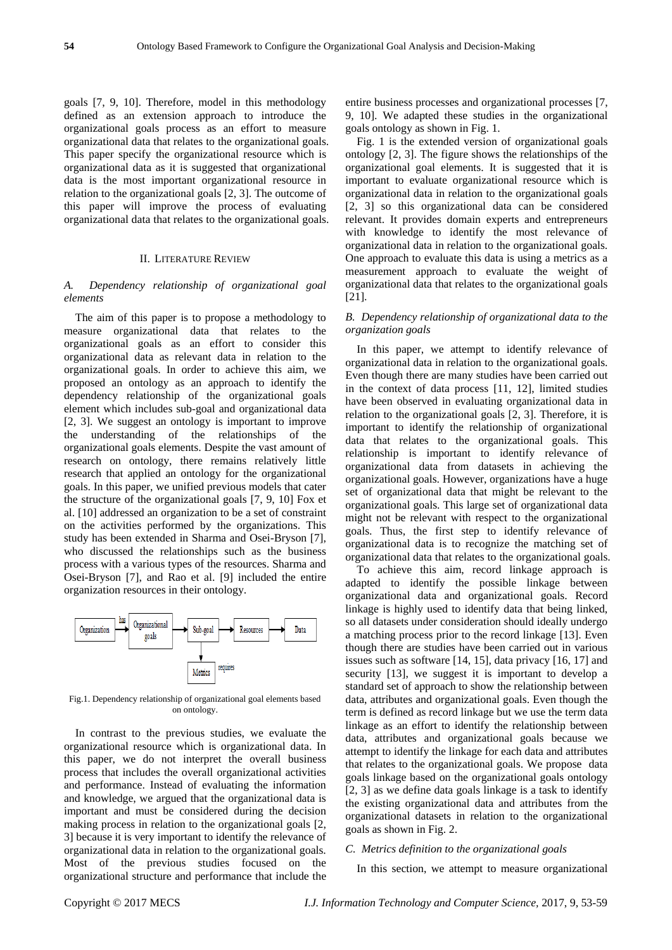goals [7, 9, 10]. Therefore, model in this methodology defined as an extension approach to introduce the organizational goals process as an effort to measure organizational data that relates to the organizational goals. This paper specify the organizational resource which is organizational data as it is suggested that organizational data is the most important organizational resource in relation to the organizational goals [2, 3]. The outcome of this paper will improve the process of evaluating organizational data that relates to the organizational goals.

#### II. LITERATURE REVIEW

## *A. Dependency relationship of organizational goal elements*

The aim of this paper is to propose a methodology to measure organizational data that relates to the organizational goals as an effort to consider this organizational data as relevant data in relation to the organizational goals. In order to achieve this aim, we proposed an ontology as an approach to identify the dependency relationship of the organizational goals element which includes sub-goal and organizational data [2, 3]. We suggest an ontology is important to improve the understanding of the relationships of the organizational goals elements. Despite the vast amount of research on ontology, there remains relatively little research that applied an ontology for the organizational goals. In this paper, we unified previous models that cater the structure of the organizational goals [7, 9, 10] Fox et al. [10] addressed an organization to be a set of constraint on the activities performed by the organizations. This study has been extended in Sharma and Osei-Bryson [7], who discussed the relationships such as the business process with a various types of the resources. Sharma and Osei-Bryson [7], and Rao et al. [9] included the entire organization resources in their ontology.



Fig.1. Dependency relationship of organizational goal elements based on ontology.

In contrast to the previous studies, we evaluate the organizational resource which is organizational data. In this paper, we do not interpret the overall business process that includes the overall organizational activities and performance. Instead of evaluating the information and knowledge, we argued that the organizational data is important and must be considered during the decision making process in relation to the organizational goals [2, 3] because it is very important to identify the relevance of organizational data in relation to the organizational goals. Most of the previous studies focused on the organizational structure and performance that include the

entire business processes and organizational processes [7, 9, 10]. We adapted these studies in the organizational goals ontology as shown in Fig. 1.

Fig. 1 is the extended version of organizational goals ontology [2, 3]. The figure shows the relationships of the organizational goal elements. It is suggested that it is important to evaluate organizational resource which is organizational data in relation to the organizational goals [2, 3] so this organizational data can be considered relevant. It provides domain experts and entrepreneurs with knowledge to identify the most relevance of organizational data in relation to the organizational goals. One approach to evaluate this data is using a metrics as a measurement approach to evaluate the weight of organizational data that relates to the organizational goals [21].

## *B. Dependency relationship of organizational data to the organization goals*

In this paper, we attempt to identify relevance of organizational data in relation to the organizational goals. Even though there are many studies have been carried out in the context of data process [11, 12], limited studies have been observed in evaluating organizational data in relation to the organizational goals [2, 3]. Therefore, it is important to identify the relationship of organizational data that relates to the organizational goals. This relationship is important to identify relevance of organizational data from datasets in achieving the organizational goals. However, organizations have a huge set of organizational data that might be relevant to the organizational goals. This large set of organizational data might not be relevant with respect to the organizational goals. Thus, the first step to identify relevance of organizational data is to recognize the matching set of organizational data that relates to the organizational goals.

To achieve this aim, record linkage approach is adapted to identify the possible linkage between organizational data and organizational goals. Record linkage is highly used to identify data that being linked, so all datasets under consideration should ideally undergo a matching process prior to the record linkage [13]. Even though there are studies have been carried out in various issues such as software [14, 15], data privacy [16, 17] and security [13], we suggest it is important to develop a standard set of approach to show the relationship between data, attributes and organizational goals. Even though the term is defined as record linkage but we use the term data linkage as an effort to identify the relationship between data, attributes and organizational goals because we attempt to identify the linkage for each data and attributes that relates to the organizational goals. We propose data goals linkage based on the organizational goals ontology [2, 3] as we define data goals linkage is a task to identify the existing organizational data and attributes from the organizational datasets in relation to the organizational goals as shown in Fig. 2.

## *C. Metrics definition to the organizational goals*

In this section, we attempt to measure organizational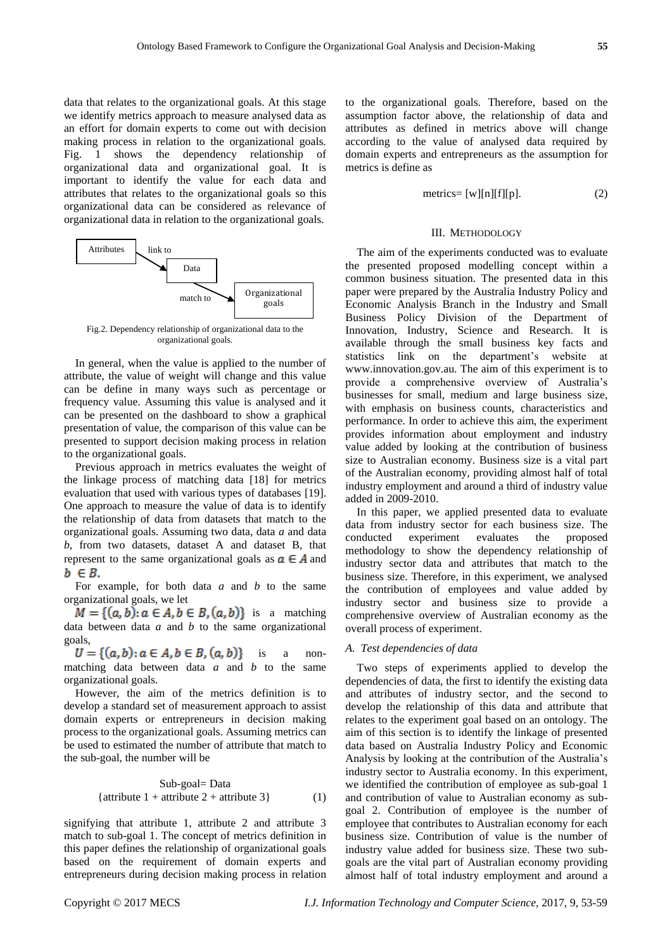data that relates to the organizational goals. At this stage we identify metrics approach to measure analysed data as an effort for domain experts to come out with decision making process in relation to the organizational goals. Fig. 1 shows the dependency relationship of organizational data and organizational goal. It is important to identify the value for each data and attributes that relates to the organizational goals so this organizational data can be considered as relevance of organizational data in relation to the organizational goals.



Fig.2. Dependency relationship of organizational data to the organizational goals.

In general, when the value is applied to the number of attribute, the value of weight will change and this value can be define in many ways such as percentage or frequency value. Assuming this value is analysed and it can be presented on the dashboard to show a graphical presentation of value, the comparison of this value can be presented to support decision making process in relation to the organizational goals.

Previous approach in metrics evaluates the weight of the linkage process of matching data [18] for metrics evaluation that used with various types of databases [19]. One approach to measure the value of data is to identify the relationship of data from datasets that match to the organizational goals. Assuming two data, data *a* and data *b*, from two datasets, dataset A and dataset B, that represent to the same organizational goals as  $a \in A$  and  $b \in B$ .

For example, for both data *a* and *b* to the same organizational goals, we let

 $M = \{(a, b): a \in A, b \in B, (a, b)\}\$ is a matching data between data *a* and *b* to the same organizational goals,

 $U = \{(a, b): a \in A, b \in B, (a, b)\}\$ is a nonmatching data between data *a* and *b* to the same organizational goals.

However, the aim of the metrics definition is to develop a standard set of measurement approach to assist domain experts or entrepreneurs in decision making process to the organizational goals. Assuming metrics can be used to estimated the number of attribute that match to the sub-goal, the number will be

Sub-goal= Data  
{attribute 1 + attribute 2 + attribute 3} 
$$
(1)
$$

signifying that attribute 1, attribute 2 and attribute 3 match to sub-goal 1. The concept of metrics definition in this paper defines the relationship of organizational goals based on the requirement of domain experts and entrepreneurs during decision making process in relation to the organizational goals. Therefore, based on the assumption factor above, the relationship of data and attributes as defined in metrics above will change according to the value of analysed data required by domain experts and entrepreneurs as the assumption for metrics is define as

$$
metrics = [w][n][f][p]. \tag{2}
$$

#### III. METHODOLOGY

The aim of the experiments conducted was to evaluate the presented proposed modelling concept within a common business situation. The presented data in this paper were prepared by the Australia Industry Policy and Economic Analysis Branch in the Industry and Small Business Policy Division of the Department of Innovation, Industry, Science and Research. It is available through the small business key facts and statistics link on the department's website at www.innovation.gov.au. The aim of this experiment is to provide a comprehensive overview of Australia's businesses for small, medium and large business size, with emphasis on business counts, characteristics and performance. In order to achieve this aim, the experiment provides information about employment and industry value added by looking at the contribution of business size to Australian economy. Business size is a vital part of the Australian economy, providing almost half of total industry employment and around a third of industry value added in 2009-2010.

In this paper, we applied presented data to evaluate data from industry sector for each business size. The conducted experiment evaluates the proposed methodology to show the dependency relationship of industry sector data and attributes that match to the business size. Therefore, in this experiment, we analysed the contribution of employees and value added by industry sector and business size to provide a comprehensive overview of Australian economy as the overall process of experiment.

## *A. Test dependencies of data*

Two steps of experiments applied to develop the dependencies of data, the first to identify the existing data and attributes of industry sector, and the second to develop the relationship of this data and attribute that relates to the experiment goal based on an ontology. The aim of this section is to identify the linkage of presented data based on Australia Industry Policy and Economic Analysis by looking at the contribution of the Australia's industry sector to Australia economy. In this experiment, we identified the contribution of employee as sub-goal 1 and contribution of value to Australian economy as subgoal 2. Contribution of employee is the number of employee that contributes to Australian economy for each business size. Contribution of value is the number of industry value added for business size. These two subgoals are the vital part of Australian economy providing almost half of total industry employment and around a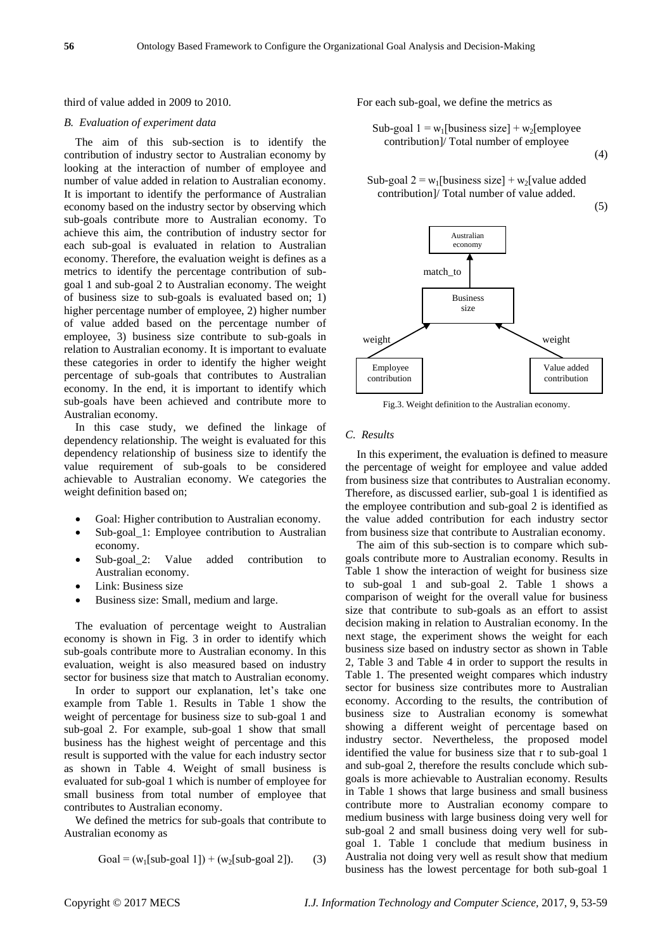#### third of value added in 2009 to 2010.

#### *B. Evaluation of experiment data*

The aim of this sub-section is to identify the contribution of industry sector to Australian economy by looking at the interaction of number of employee and number of value added in relation to Australian economy. It is important to identify the performance of Australian economy based on the industry sector by observing which sub-goals contribute more to Australian economy. To achieve this aim, the contribution of industry sector for each sub-goal is evaluated in relation to Australian economy. Therefore, the evaluation weight is defines as a metrics to identify the percentage contribution of subgoal 1 and sub-goal 2 to Australian economy. The weight of business size to sub-goals is evaluated based on; 1) higher percentage number of employee, 2) higher number of value added based on the percentage number of employee, 3) business size contribute to sub-goals in relation to Australian economy. It is important to evaluate these categories in order to identify the higher weight percentage of sub-goals that contributes to Australian economy. In the end, it is important to identify which sub-goals have been achieved and contribute more to Australian economy.

In this case study, we defined the linkage of dependency relationship. The weight is evaluated for this dependency relationship of business size to identify the value requirement of sub-goals to be considered achievable to Australian economy. We categories the weight definition based on;

- Goal: Higher contribution to Australian economy.
- Sub-goal\_1: Employee contribution to Australian economy.
- Sub-goal\_2: Value added contribution to Australian economy.
- Link: Business size
- Business size: Small, medium and large.

The evaluation of percentage weight to Australian economy is shown in Fig. 3 in order to identify which sub-goals contribute more to Australian economy. In this evaluation, weight is also measured based on industry sector for business size that match to Australian economy.

In order to support our explanation, let's take one example from Table 1. Results in Table 1 show the weight of percentage for business size to sub-goal 1 and sub-goal 2. For example, sub-goal 1 show that small business has the highest weight of percentage and this result is supported with the value for each industry sector as shown in Table 4. Weight of small business is evaluated for sub-goal 1 which is number of employee for small business from total number of employee that contributes to Australian economy.

We defined the metrics for sub-goals that contribute to Australian economy as

Goal = 
$$
(w_1[sub-goal 1]) + (w_2[sub-goal 2])
$$
. (3)

For each sub-goal, we define the metrics as

Sub-goal 
$$
1 = w_1
$$
[business size] +  $w_2$ [employee  
contribution]/ Total number of employee  
(4)

Sub-goal 
$$
2 = w_1
$$
[business size] +  $w_2$ [value added  
contribution]/ Total number of value added.

 $(5)$ 



Fig.3. Weight definition to the Australian economy.

#### *C. Results*

In this experiment, the evaluation is defined to measure the percentage of weight for employee and value added from business size that contributes to Australian economy. Therefore, as discussed earlier, sub-goal 1 is identified as the employee contribution and sub-goal 2 is identified as the value added contribution for each industry sector from business size that contribute to Australian economy.

The aim of this sub-section is to compare which subgoals contribute more to Australian economy. Results in Table 1 show the interaction of weight for business size to sub-goal 1 and sub-goal 2. Table 1 shows a comparison of weight for the overall value for business size that contribute to sub-goals as an effort to assist decision making in relation to Australian economy. In the next stage, the experiment shows the weight for each business size based on industry sector as shown in Table 2, Table 3 and Table 4 in order to support the results in Table 1. The presented weight compares which industry sector for business size contributes more to Australian economy. According to the results, the contribution of business size to Australian economy is somewhat showing a different weight of percentage based on industry sector. Nevertheless, the proposed model identified the value for business size that r to sub-goal 1 and sub-goal 2, therefore the results conclude which subgoals is more achievable to Australian economy. Results in Table 1 shows that large business and small business contribute more to Australian economy compare to medium business with large business doing very well for sub-goal 2 and small business doing very well for subgoal 1. Table 1 conclude that medium business in Australia not doing very well as result show that medium business has the lowest percentage for both sub-goal 1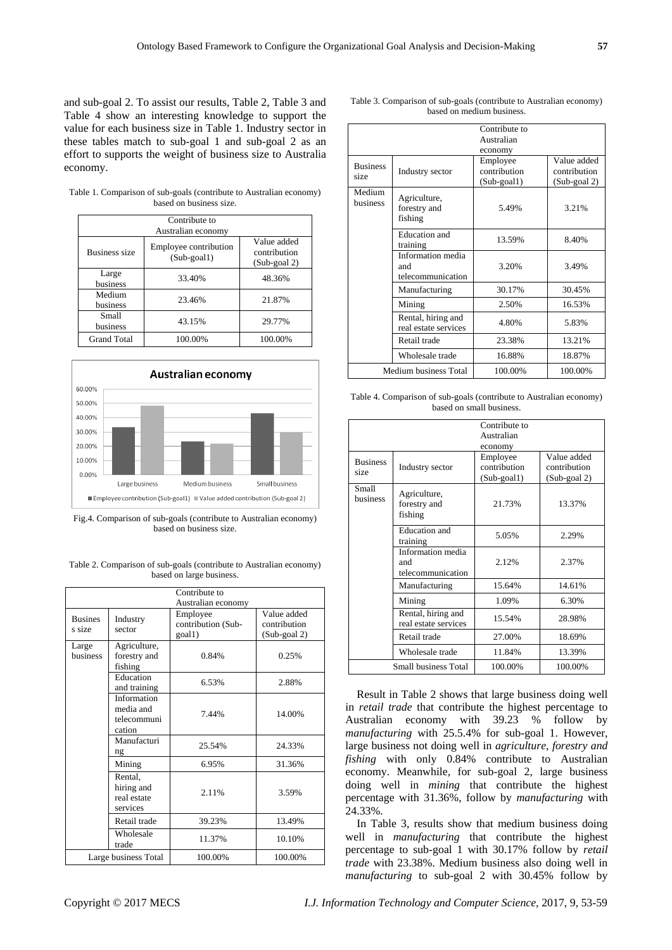and sub-goal 2. To assist our results, Table 2, Table 3 and Table 4 show an interesting knowledge to support the value for each business size in Table 1. Industry sector in these tables match to sub-goal 1 and sub-goal 2 as an effort to supports the weight of business size to Australia economy.

Table 1. Comparison of sub-goals (contribute to Australian economy) based on business size.

| Contribute to<br>Australian economy |                                         |                                                |  |  |  |
|-------------------------------------|-----------------------------------------|------------------------------------------------|--|--|--|
| <b>Business size</b>                | Employee contribution<br>$(Sub$ -goal1) | Value added<br>contribution<br>$(Sub$ -goal 2) |  |  |  |
| Large<br>business                   | 33.40%                                  | 48.36%                                         |  |  |  |
| Medium<br>business                  | 23.46%                                  | 21.87%                                         |  |  |  |
| Small<br>business                   | 43.15%                                  | 29.77%                                         |  |  |  |
| <b>Grand Total</b>                  | 100.00%                                 | 100.00%                                        |  |  |  |



Fig.4. Comparison of sub-goals (contribute to Australian economy) based on business size.

Table 2. Comparison of sub-goals (contribute to Australian economy) based on large business.

| Contribute to<br>Australian economy |                                                   |                                          |                                             |  |  |
|-------------------------------------|---------------------------------------------------|------------------------------------------|---------------------------------------------|--|--|
| <b>Busines</b><br>s size            | Industry<br>sector                                | Employee<br>contribution (Sub-<br>goal1) | Value added<br>contribution<br>(Sub-goal 2) |  |  |
| Large<br>business                   | Agriculture,<br>forestry and<br>fishing           | 0.84%                                    | 0.25%                                       |  |  |
|                                     | Education<br>and training                         | 6.53%                                    | 2.88%                                       |  |  |
|                                     | Information<br>media and<br>telecommuni<br>cation | 7.44%                                    | 14.00%                                      |  |  |
|                                     | Manufacturi<br>ng                                 | 25.54%                                   | 24.33%                                      |  |  |
|                                     | Mining                                            | 6.95%                                    | 31.36%                                      |  |  |
|                                     | Rental,<br>hiring and<br>real estate<br>services  | 2.11%                                    | 3.59%                                       |  |  |
|                                     | Retail trade                                      | 39.23%                                   | 13.49%                                      |  |  |
|                                     | Wholesale<br>trade                                | 11.37%                                   | 10.10%                                      |  |  |
| Large business Total                |                                                   | 100.00%                                  | 100.00%                                     |  |  |

Table 3. Comparison of sub-goals (contribute to Australian economy) based on medium business.

|                         |                       | Contribute to  |              |
|-------------------------|-----------------------|----------------|--------------|
|                         |                       | Australian     |              |
|                         |                       | economy        |              |
| <b>Business</b><br>size | Industry sector       | Employee       | Value added  |
|                         |                       | contribution   | contribution |
|                         |                       | $(Sub$ -goal1) | (Sub-goal 2) |
| Medium                  | Agriculture,          |                |              |
| business                | forestry and          | 5.49%          | 3.21%        |
|                         | fishing               |                |              |
|                         |                       |                |              |
|                         | Education and         | 13.59%         | 8.40%        |
|                         | training              |                |              |
|                         | Information media     |                | 3.49%        |
|                         | and                   | 3.20%          |              |
|                         | telecommunication     |                |              |
|                         | Manufacturing         | 30.17%         | 30.45%       |
|                         | Mining                | 2.50%          | 16.53%       |
|                         | Rental, hiring and    | 4.80%          | 5.83%        |
|                         | real estate services  |                |              |
|                         | Retail trade          | 23.38%         | 13.21%       |
|                         | Wholesale trade       | 16.88%         | 18.87%       |
|                         | Medium business Total | 100.00%        | 100.00%      |

Table 4. Comparison of sub-goals (contribute to Australian economy) based on small business.

|                          |                                               | Contribute to<br>Australian<br>economy     |                                                |
|--------------------------|-----------------------------------------------|--------------------------------------------|------------------------------------------------|
| <b>Business</b><br>size  | Industry sector                               | Employee<br>contribution<br>$(Sub$ -goal1) | Value added<br>contribution<br>$(Sub$ -goal 2) |
| Small<br><b>business</b> | Agriculture,<br>forestry and<br>fishing       | 21.73%                                     | 13.37%                                         |
|                          | <b>Education</b> and<br>training              | 5.05%                                      | 2.29%                                          |
|                          | Information media<br>and<br>telecommunication | 2.12%                                      | 2.37%                                          |
|                          | Manufacturing                                 | 15.64%                                     | 14.61%                                         |
|                          | Mining                                        | 1.09%                                      | 6.30%                                          |
|                          | Rental, hiring and<br>real estate services    | 15.54%                                     | 28.98%                                         |
|                          | Retail trade                                  | 27.00%                                     | 18.69%                                         |
|                          | Wholesale trade                               | 11.84%                                     | 13.39%                                         |
|                          | Small business Total                          | 100.00%                                    | 100.00%                                        |

Result in Table 2 shows that large business doing well in *retail trade* that contribute the highest percentage to Australian economy with 39.23 % follow by *manufacturing* with 25.5.4% for sub-goal 1. However, large business not doing well in *agriculture, forestry and fishing* with only 0.84% contribute to Australian economy. Meanwhile, for sub-goal 2, large business doing well in *mining* that contribute the highest percentage with 31.36%, follow by *manufacturing* with 24.33%.

In Table 3, results show that medium business doing well in *manufacturing* that contribute the highest percentage to sub-goal 1 with 30.17% follow by *retail trade* with 23.38%. Medium business also doing well in *manufacturing* to sub-goal 2 with 30.45% follow by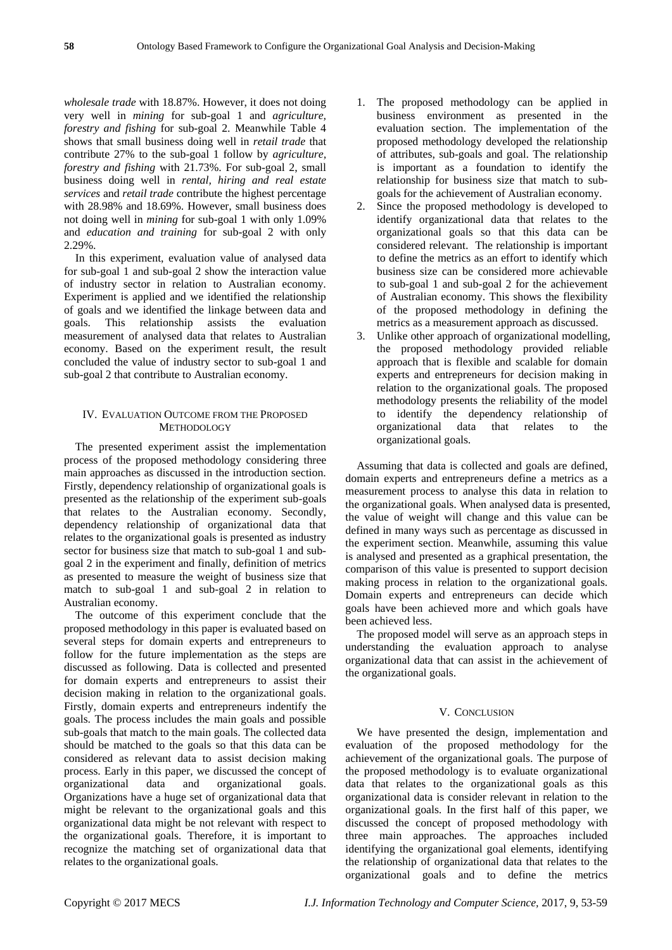*wholesale trade* with 18.87%. However, it does not doing very well in *mining* for sub-goal 1 and *agriculture, forestry and fishing* for sub-goal 2. Meanwhile Table 4 shows that small business doing well in *retail trade* that contribute 27% to the sub-goal 1 follow by *agriculture, forestry and fishing* with 21.73%. For sub-goal 2, small business doing well in *rental, hiring and real estate services* and *retail trade* contribute the highest percentage with 28.98% and 18.69%. However, small business does not doing well in *mining* for sub-goal 1 with only 1.09% and *education and training* for sub-goal 2 with only  $2.290%$ 

In this experiment, evaluation value of analysed data for sub-goal 1 and sub-goal 2 show the interaction value of industry sector in relation to Australian economy. Experiment is applied and we identified the relationship of goals and we identified the linkage between data and goals. This relationship assists the evaluation measurement of analysed data that relates to Australian economy. Based on the experiment result, the result concluded the value of industry sector to sub-goal 1 and sub-goal 2 that contribute to Australian economy.

## IV. EVALUATION OUTCOME FROM THE PROPOSED **METHODOLOGY**

The presented experiment assist the implementation process of the proposed methodology considering three main approaches as discussed in the introduction section. Firstly, dependency relationship of organizational goals is presented as the relationship of the experiment sub-goals that relates to the Australian economy. Secondly, dependency relationship of organizational data that relates to the organizational goals is presented as industry sector for business size that match to sub-goal 1 and subgoal 2 in the experiment and finally, definition of metrics as presented to measure the weight of business size that match to sub-goal 1 and sub-goal 2 in relation to Australian economy.

The outcome of this experiment conclude that the proposed methodology in this paper is evaluated based on several steps for domain experts and entrepreneurs to follow for the future implementation as the steps are discussed as following. Data is collected and presented for domain experts and entrepreneurs to assist their decision making in relation to the organizational goals. Firstly, domain experts and entrepreneurs indentify the goals. The process includes the main goals and possible sub-goals that match to the main goals. The collected data should be matched to the goals so that this data can be considered as relevant data to assist decision making process. Early in this paper, we discussed the concept of organizational data and organizational goals. Organizations have a huge set of organizational data that might be relevant to the organizational goals and this organizational data might be not relevant with respect to the organizational goals. Therefore, it is important to recognize the matching set of organizational data that relates to the organizational goals.

- 1. The proposed methodology can be applied in business environment as presented in the evaluation section. The implementation of the proposed methodology developed the relationship of attributes, sub-goals and goal. The relationship is important as a foundation to identify the relationship for business size that match to subgoals for the achievement of Australian economy.
- 2. Since the proposed methodology is developed to identify organizational data that relates to the organizational goals so that this data can be considered relevant. The relationship is important to define the metrics as an effort to identify which business size can be considered more achievable to sub-goal 1 and sub-goal 2 for the achievement of Australian economy. This shows the flexibility of the proposed methodology in defining the metrics as a measurement approach as discussed.
- 3. Unlike other approach of organizational modelling, the proposed methodology provided reliable approach that is flexible and scalable for domain experts and entrepreneurs for decision making in relation to the organizational goals. The proposed methodology presents the reliability of the model to identify the dependency relationship of organizational data that relates to the organizational goals.

Assuming that data is collected and goals are defined, domain experts and entrepreneurs define a metrics as a measurement process to analyse this data in relation to the organizational goals. When analysed data is presented, the value of weight will change and this value can be defined in many ways such as percentage as discussed in the experiment section. Meanwhile, assuming this value is analysed and presented as a graphical presentation, the comparison of this value is presented to support decision making process in relation to the organizational goals. Domain experts and entrepreneurs can decide which goals have been achieved more and which goals have been achieved less.

The proposed model will serve as an approach steps in understanding the evaluation approach to analyse organizational data that can assist in the achievement of the organizational goals.

#### V. CONCLUSION

We have presented the design, implementation and evaluation of the proposed methodology for the achievement of the organizational goals. The purpose of the proposed methodology is to evaluate organizational data that relates to the organizational goals as this organizational data is consider relevant in relation to the organizational goals. In the first half of this paper, we discussed the concept of proposed methodology with three main approaches. The approaches included identifying the organizational goal elements, identifying the relationship of organizational data that relates to the organizational goals and to define the metrics